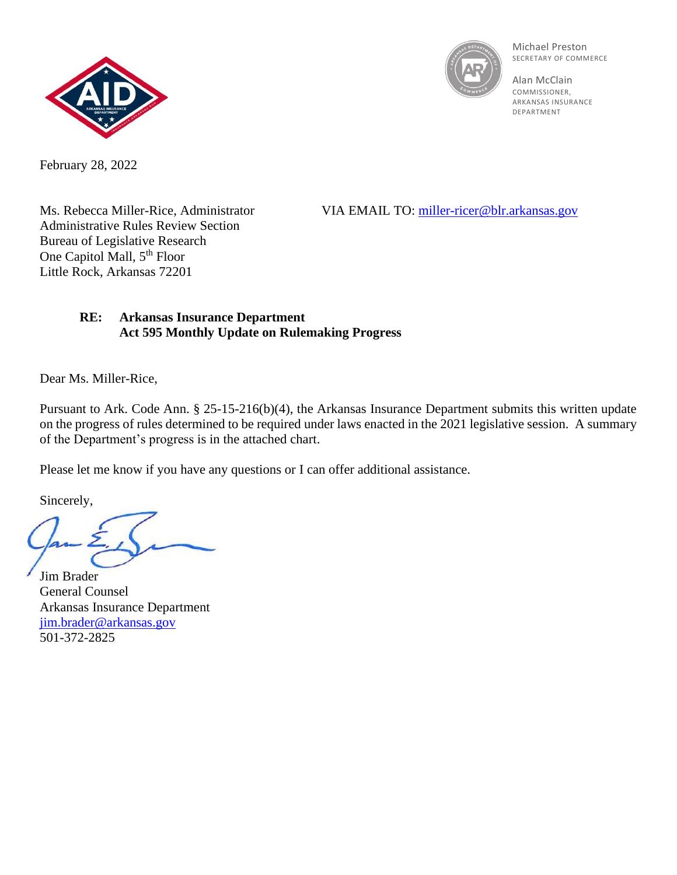



Michael Preston SECRETARY OF COMMERCE

Alan McClain **COMMISSIONER** ARKANSAS INSURANCE DEPARTMENT

February 28, 2022

Administrative Rules Review Section Bureau of Legislative Research One Capitol Mall, 5<sup>th</sup> Floor Little Rock, Arkansas 72201

Ms. Rebecca Miller-Rice, Administrator VIA EMAIL TO: [miller-ricer@blr.arkansas.gov](mailto:miller-ricer@blr.arkansas.gov)

## **RE: Arkansas Insurance Department Act 595 Monthly Update on Rulemaking Progress**

Dear Ms. Miller-Rice,

Pursuant to Ark. Code Ann. § 25-15-216(b)(4), the Arkansas Insurance Department submits this written update on the progress of rules determined to be required under laws enacted in the 2021 legislative session. A summary of the Department's progress is in the attached chart.

Please let me know if you have any questions or I can offer additional assistance.

Sincerely,

Jim Brader General Counsel Arkansas Insurance Department [jim.brader@arkansas.gov](mailto:jim.brader@arkansas.gov) 501-372-2825